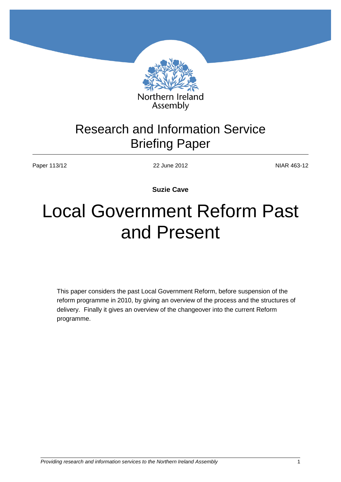

## Research and Information Service Briefing Paper

Paper 113/12 22 June 2012 22 June 2012

**Suzie Cave**

# Local Government Reform Past and Present

This paper considers the past Local Government Reform, before suspension of the reform programme in 2010, by giving an overview of the process and the structures of delivery. Finally it gives an overview of the changeover into the current Reform programme.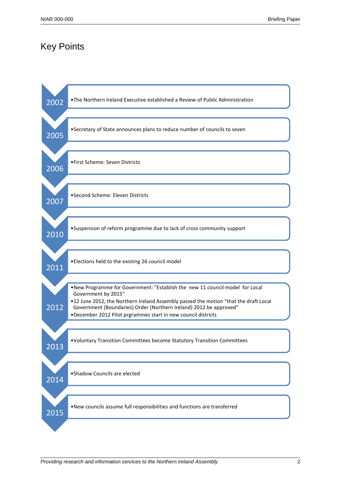## Key Points

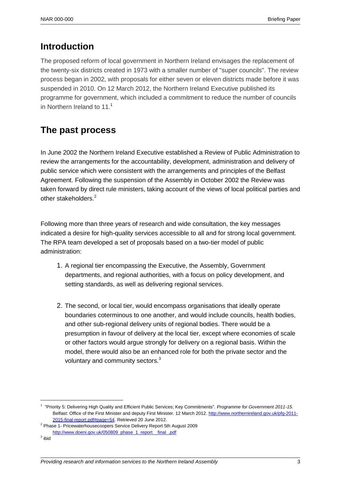## **Introduction**

The proposed reform of local government in Northern Ireland envisages the replacement of the twenty-six districts created in 1973 with a smaller number of "super councils". The review process began in 2002, with proposals for either seven or eleven districts made before it was suspended in 2010. On 12 March 2012, the Northern Ireland Executive published its programme for government, which included a commitment to reduce the number of councils in Northern Ireland to 11.<sup>1</sup>

## **The past process**

In June 2002 the [Northern Ireland Executive](http://en.wikipedia.org/wiki/Northern_Ireland_Executive) established a Review of Public Administration to review the arrangements for the accountability, development, administration and delivery of public service which were consistent with the arrangements and principles of the Belfast Agreement. Following the suspension of the Assembly in October 2002 the Review was taken forward by direct rule ministers, taking account of the views of local political parties and other stakeholders<sup>2</sup>

Following more than three years of research and wide consultation, the key messages indicated a desire for high-quality services accessible to all and for strong local government. The RPA team developed a set of proposals based on a two-tier model of public administration:

- 1. A regional tier encompassing the Executive, the Assembly, Government departments, and regional authorities, with a focus on policy development, and setting standards, as well as delivering regional services.
- 2. The second, or local tier, would encompass organisations that ideally operate boundaries coterminous to one another, and would include councils, health bodies, and other sub-regional delivery units of regional bodies. There would be a presumption in favour of delivery at the local tier, except where economies of scale or other factors would argue strongly for delivery on a regional basis. Within the model, there would also be an enhanced role for both the private sector and the voluntary and community sectors.<sup>3</sup>

<sup>1</sup> "Priority 5: Delivering High Quality and Efficient Public Services; Key Commitments". *Programme for Government 2011-15*. Belfast: Office of the First Minister and deputy First Minister. 12 March 2012. [http://www.northernireland.gov.uk/pfg-2011-](http://www.northernireland.gov.uk/pfg-2011-2015-final-report.pdf#page=54) [2015-final-report.pdf#page=54.](http://www.northernireland.gov.uk/pfg-2011-2015-final-report.pdf#page=54) Retrieved 20 June 2012.

<sup>2</sup> Phase 1- [Pricewaterhousecoopers Service Delivery Report 5th August 2009](http://www.doeni.gov.uk/050809_phase_1_report__final_.pdf) 

[http://www.doeni.gov.uk/050809\\_phase\\_1\\_report\\_\\_final\\_.pdf](http://www.doeni.gov.uk/050809_phase_1_report__final_.pdf)

 $^3$  ibid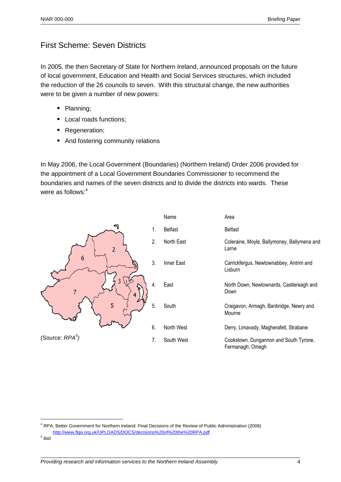## First Scheme: Seven Districts

In 2005, the then Secretary of State for Northern Ireland, announced proposals on the future of local government, Education and Health and Social Services structures, which included the reduction of the 26 councils to seven. With this structural change, the new authorities were to be given a number of new powers:

- Planning;
- Local roads functions;
- **Regeneration;**
- And fostering community relations

In May 2006, the Local Government (Boundaries) (Northern Ireland) Order 2006 provided for the appointment of a Local Government Boundaries Commissioner to recommend the boundaries and names of the seven districts and to divide the districts into wards. These were as follows:<sup>4</sup>



<sup>4</sup> RPA, Better Government for Northern Ireland: Final Decisions of the Review of Public Administration (2006) <http://www.flga.org.uk/UPLOADS/DOCS/decisions%20of%20the%20RPA.pdf>

<sup>&</sup>lt;sup>5</sup> ibid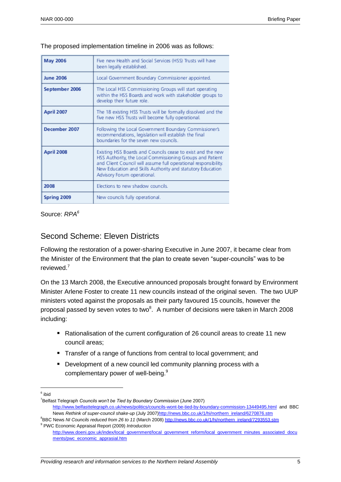The proposed implementation timeline in 2006 was as follows:

| May 2006          | Five new Health and Social Services (HSS) Trusts will have<br>been legally established.                                                                                                                                                                                                  |
|-------------------|------------------------------------------------------------------------------------------------------------------------------------------------------------------------------------------------------------------------------------------------------------------------------------------|
| <b>June 2006</b>  | Local Government Boundary Commissioner appointed.                                                                                                                                                                                                                                        |
| September 2006    | The Local HSS Commissioning Groups will start operating<br>within the HSS Boards and work with stakeholder groups to<br>develop their future role.                                                                                                                                       |
| <b>April 2007</b> | The 18 existing HSS Trusts will be formally dissolved and the<br>five new HSS Trusts will become fully operational.                                                                                                                                                                      |
| December 2007     | Following the Local Government Boundary Commissioner's<br>recommendations, legislation will establish the final<br>boundaries for the seven new councils.                                                                                                                                |
| April 2008        | Existing HSS Boards and Councils cease to exist and the new<br>HSS Authority, the Local Commissioning Groups and Patient<br>and Client Council will assume full operational responsibility.<br>New Education and Skills Authority and statutory Education<br>Advisory Forum operational. |
| 2008              | Elections to new shadow councils.                                                                                                                                                                                                                                                        |
| Spring 2009       | New councils fully operational.                                                                                                                                                                                                                                                          |

Source: *RPA<sup>6</sup>*

## Second Scheme: Eleven Districts

Following the restoration of a power-sharing Executive in June 2007, it became clear from the Minister of the Environment that the plan to create seven "super-councils" was to be reviewed.<sup>7</sup>

On the 13 March 2008, the Executive announced proposals brought forward by Environment Minister Arlene Foster to create 11 new councils instead of the original seven. The two UUP ministers voted against the proposals as their party favoured 15 councils, however the proposal passed by seven votes to two $^8$ . A number of decisions were taken in March 2008 including:

- Rationalisation of the current configuration of 26 council areas to create 11 new council areas;
- Transfer of a range of functions from central to local government; and
- **Development of a new council led community planning process with a** complementary power of well-being.<sup>9</sup>
- <sup>6</sup> ibid

 $\overline{a}$ 

<sup>7</sup>Belfast Telegraph *Councils won't be Tied by Boundary Commission* (June 2007) <http://www.belfasttelegraph.co.uk/news/politics/councils-wont-be-tied-by-boundary-commission-13449495.html>and BBC

News *Rethink of super-council shake-up* (July 2007[\)http://news.bbc.co.uk/1/hi/northern\\_ireland/6270876.stm](http://news.bbc.co.uk/1/hi/northern_ireland/6270876.stm) <sup>8</sup>BBC News *NI Councils reduced from 26 to 11* (March 2008) [http://news.bbc.co.uk/1/hi/northern\\_ireland/7293553.stm](http://news.bbc.co.uk/1/hi/northern_ireland/7293553.stm)

<sup>9</sup> PWC Economic Appraisal Report (2009) *Introduction* [http://www.doeni.gov.uk/index/local\\_government/local\\_government\\_reform/local\\_government\\_minutes\\_associated\\_docu](http://www.doeni.gov.uk/index/local_government/local_government_reform/local_government_minutes_associated_documents/pwc_economic_apprasial.htm) [ments/pwc\\_economic\\_apprasial.htm](http://www.doeni.gov.uk/index/local_government/local_government_reform/local_government_minutes_associated_documents/pwc_economic_apprasial.htm)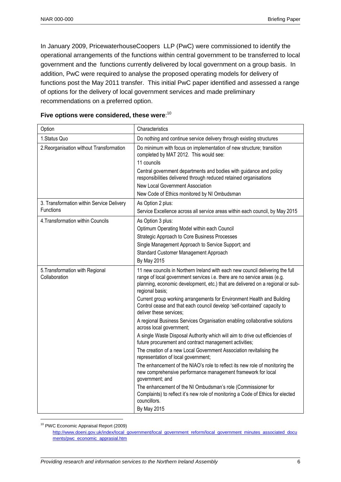In January 2009, PricewaterhouseCoopers LLP (PwC) were commissioned to identify the operational arrangements of the functions within central government to be transferred to local government and the functions currently delivered by local government on a group basis. In addition, PwC were required to analyse the proposed operating models for delivery of functions post the May 2011 transfer. This initial PwC paper identified and assessed a range of options for the delivery of local government services and made preliminary recommendations on a preferred option.

| Option                                                 | Characteristics                                                                                                                                                                                                                                                                                                                                                                                                                                                                                                                                                                                                                                                                                                                                                                                                                                                                                                                                                                                                                                                                                                                                                         |
|--------------------------------------------------------|-------------------------------------------------------------------------------------------------------------------------------------------------------------------------------------------------------------------------------------------------------------------------------------------------------------------------------------------------------------------------------------------------------------------------------------------------------------------------------------------------------------------------------------------------------------------------------------------------------------------------------------------------------------------------------------------------------------------------------------------------------------------------------------------------------------------------------------------------------------------------------------------------------------------------------------------------------------------------------------------------------------------------------------------------------------------------------------------------------------------------------------------------------------------------|
| 1. Status Quo                                          | Do nothing and continue service delivery through existing structures                                                                                                                                                                                                                                                                                                                                                                                                                                                                                                                                                                                                                                                                                                                                                                                                                                                                                                                                                                                                                                                                                                    |
| 2. Reorganisation without Transformation               | Do minimum with focus on implementation of new structure; transition<br>completed by MAT 2012. This would see:<br>11 councils<br>Central government departments and bodies with guidance and policy<br>responsibilities delivered through reduced retained organisations<br>New Local Government Association<br>New Code of Ethics monitored by NI Ombudsman                                                                                                                                                                                                                                                                                                                                                                                                                                                                                                                                                                                                                                                                                                                                                                                                            |
| 3. Transformation within Service Delivery<br>Functions | As Option 2 plus:<br>Service Excellence across all service areas within each council, by May 2015                                                                                                                                                                                                                                                                                                                                                                                                                                                                                                                                                                                                                                                                                                                                                                                                                                                                                                                                                                                                                                                                       |
| 4. Transformation within Councils                      | As Option 3 plus:<br>Optimum Operating Model within each Council<br>Strategic Approach to Core Business Processes<br>Single Management Approach to Service Support; and<br>Standard Customer Management Approach<br>By May 2015                                                                                                                                                                                                                                                                                                                                                                                                                                                                                                                                                                                                                                                                                                                                                                                                                                                                                                                                         |
| 5. Transformation with Regional<br>Collaboration       | 11 new councils in Northern Ireland with each new council delivering the full<br>range of local government services i.e. there are no service areas (e.g.<br>planning, economic development, etc.) that are delivered on a regional or sub-<br>regional basis;<br>Current group working arrangements for Environment Health and Building<br>Control cease and that each council develop 'self-contained' capacity to<br>deliver these services;<br>A regional Business Services Organisation enabling collaborative solutions<br>across local government;<br>A single Waste Disposal Authority which will aim to drive out efficiencies of<br>future procurement and contract management activities;<br>The creation of a new Local Government Association revitalising the<br>representation of local government;<br>The enhancement of the NIAO's role to reflect its new role of monitoring the<br>new comprehensive performance management framework for local<br>government; and<br>The enhancement of the NI Ombudsman's role (Commissioner for<br>Complaints) to reflect it's new role of monitoring a Code of Ethics for elected<br>councillors.<br>By May 2015 |

#### **Five options were considered, these were**: 10

<sup>10</sup> PWC Economic Appraisal Report (2009)

[http://www.doeni.gov.uk/index/local\\_government/local\\_government\\_reform/local\\_government\\_minutes\\_associated\\_docu](http://www.doeni.gov.uk/index/local_government/local_government_reform/local_government_minutes_associated_documents/pwc_economic_apprasial.htm) [ments/pwc\\_economic\\_apprasial.htm](http://www.doeni.gov.uk/index/local_government/local_government_reform/local_government_minutes_associated_documents/pwc_economic_apprasial.htm)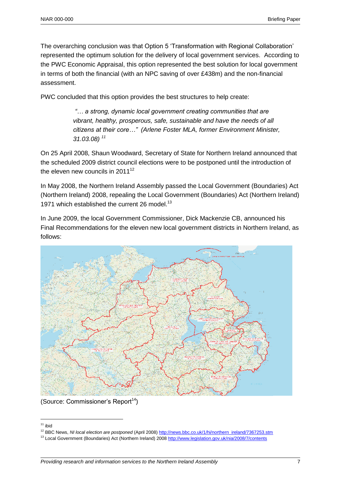The overarching conclusion was that Option 5 'Transformation with Regional Collaboration' represented the optimum solution for the delivery of local government services. According to the PWC Economic Appraisal, this option represented the best solution for local government in terms of both the financial (with an NPC saving of over £438m) and the non-financial assessment.

PWC concluded that this option provides the best structures to help create:

*"… a strong, dynamic local government creating communities that are vibrant, healthy, prosperous, safe, sustainable and have the needs of all citizens at their core…" (Arlene Foster MLA, former Environment Minister, 31.03.08) <sup>11</sup>*

On 25 April 2008, Shaun Woodward, Secretary of State for Northern Ireland announced that the scheduled 2009 district council elections were to be postponed until the introduction of the eleven new councils in  $2011^{12}$ 

In May 2008, the Northern Ireland Assembly passed the Local Government (Boundaries) Act (Northern Ireland) 2008, repealing the Local Government (Boundaries) Act (Northern Ireland) 1971 which established the current 26 model.<sup>13</sup>

In June 2009, the local Government Commissioner, Dick Mackenzie CB, announced his Final Recommendations for the eleven new local government districts in Northern Ireland, as follows:



(Source: Commissioner's Report<sup>14</sup>)

 $\overline{a}$  $11$  ibid

<sup>&</sup>lt;sup>12</sup> BBC News, *NI local election are postponed* (April 2008[\) http://news.bbc.co.uk/1/hi/northern\\_ireland/7367253.stm](http://news.bbc.co.uk/1/hi/northern_ireland/7367253.stm)

<sup>&</sup>lt;sup>13</sup> Local Government (Boundaries) Act (Northern Ireland) 200[8 http://www.legislation.gov.uk/nia/2008/7/contents](http://www.legislation.gov.uk/nia/2008/7/contents)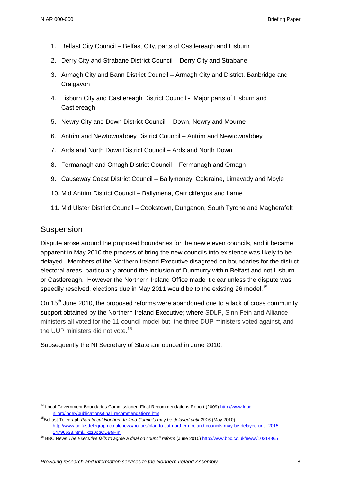- 1. Belfast City Council Belfast City, parts of Castlereagh and Lisburn
- 2. Derry City and Strabane District Council Derry City and Strabane
- 3. Armagh City and Bann District Council Armagh City and District, Banbridge and **Craigavon**
- 4. Lisburn City and Castlereagh District Council Major parts of Lisburn and **Castlereagh**
- 5. Newry City and Down District Council Down, Newry and Mourne
- 6. Antrim and Newtownabbey District Council Antrim and Newtownabbey
- 7. Ards and North Down District Council Ards and North Down
- 8. Fermanagh and Omagh District Council Fermanagh and Omagh
- 9. Causeway Coast District Council Ballymoney, Coleraine, Limavady and Moyle
- 10. Mid Antrim District Council Ballymena, Carrickfergus and Larne
- 11. Mid Ulster District Council Cookstown, Dunganon, South Tyrone and Magherafelt

### Suspension

 $\overline{a}$ 

Dispute arose around the proposed boundaries for the new eleven councils, and it became apparent in May 2010 the process of bring the new councils into existence was likely to be delayed. Members of the Northern Ireland Executive disagreed on boundaries for the district electoral areas, particularly around the inclusion of Dunmurry within Belfast and not Lisburn or Castlereagh. However the Northern Ireland Office made it clear unless the dispute was speedily resolved, elections due in May 2011 would be to the existing 26 model.<sup>15</sup>

On 15<sup>th</sup> June 2010, the proposed reforms were abandoned due to a lack of cross community support obtained by the Northern Ireland Executive; where SDLP, Sinn Fein and Alliance ministers all voted for the 11 council model but, the three DUP ministers voted against, and the UUP ministers did not vote.<sup>16</sup>

#### Subsequently the NI Secretary of State announced in June 2010:

<sup>&</sup>lt;sup>14</sup> Local Government Boundaries Commissioner Final Recommendations Report (2009[\) http://www.lgbc](http://www.lgbc-ni.org/index/publications/final_recommendations.htm)[ni.org/index/publications/final\\_recommendations.htm](http://www.lgbc-ni.org/index/publications/final_recommendations.htm)

<sup>&</sup>lt;sup>15</sup>Belfast Telegraph *Plan to cut Northern Ireland Councils may be delayed until 2015* (May 2010) [http://www.belfasttelegraph.co.uk/news/politics/plan-to-cut-northern-ireland-councils-may-be-delayed-until-2015-](http://www.belfasttelegraph.co.uk/news/politics/plan-to-cut-northern-ireland-councils-may-be-delayed-until-2015-14796633.html#ixzz0oqCDB5Hm) [14796633.html#ixzz0oqCDB5Hm](http://www.belfasttelegraph.co.uk/news/politics/plan-to-cut-northern-ireland-councils-may-be-delayed-until-2015-14796633.html#ixzz0oqCDB5Hm)

<sup>16</sup> BBC News *The Executive fails to agree a deal on council reform* (June 2010)<http://www.bbc.co.uk/news/10314865>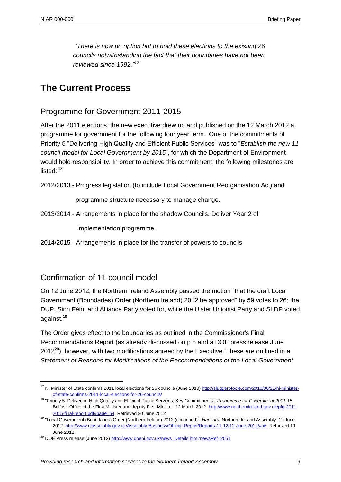*"There is now no option but to hold these elections to the existing 26 councils notwithstanding the fact that their boundaries have not been reviewed since 1992."<sup>17</sup>*

## **The Current Process**

## Programme for Government 2011-2015

After the 2011 elections, the new executive drew up and published on the 12 March 2012 a programme for government for the following four year term. One of the commitments of Priority 5 "Delivering High Quality and Efficient Public Services" was to "*Establish the new 11 council model for Local Government by 2015*", for which the Department of Environment would hold responsibility. In order to achieve this commitment, the following milestones are listed $\cdot$   $^{18}$ 

2012/2013 - Progress legislation (to include Local Government Reorganisation Act) and

programme structure necessary to manage change.

2013/2014 - Arrangements in place for the shadow Councils. Deliver Year 2 of

implementation programme.

2014/2015 - Arrangements in place for the transfer of powers to councils

## Confirmation of 11 council model

 $\overline{a}$ 

On 12 June 2012, the Northern Ireland Assembly passed the motion "that the draft Local Government (Boundaries) Order (Northern Ireland) 2012 be approved" by 59 votes to 26; the DUP, Sinn Féin, and Alliance Party voted for, while the Ulster Unionist Party and SLDP voted against.<sup>19</sup>

The Order gives effect to the boundaries as outlined in the Commissioner's Final Recommendations Report (as already discussed on p.5 and a DOE press release June  $2012^{20}$ ), however, with two modifications agreed by the Executive. These are outlined in a *Statement of Reasons for Modifications of the Recommendations of the Local Government* 

<sup>&</sup>lt;sup>17</sup> NI Minister of State confirms 2011 local elections for 26 councils (June 2010[\) http://sluggerotoole.com/2010/06/21/ni-minister](http://sluggerotoole.com/2010/06/21/ni-minister-of-state-confirms-2011-local-elections-for-26-councils/)[of-state-confirms-2011-local-elections-for-26-councils/](http://sluggerotoole.com/2010/06/21/ni-minister-of-state-confirms-2011-local-elections-for-26-councils/)

<sup>18</sup> "Priority 5: Delivering High Quality and Efficient Public Services; Key Commitments". *Programme for Government 2011-15*. Belfast: Office of the First Minister and deputy First Minister. 12 March 2012[. http://www.northernireland.gov.uk/pfg-2011-](http://www.northernireland.gov.uk/pfg-2011-2015-final-report.pdf#page=54) [2015-final-report.pdf#page=54.](http://www.northernireland.gov.uk/pfg-2011-2015-final-report.pdf#page=54) Retrieved 20 June 2012

<sup>19</sup> "Local Government (Boundaries) Order (Northern Ireland) 2012 (continued)". *Hansard*. Northern Ireland Assembly. 12 June 2012[. http://www.niassembly.gov.uk/Assembly-Business/Official-Report/Reports-11-12/12-June-2012/#a6.](http://www.niassembly.gov.uk/Assembly-Business/Official-Report/Reports-11-12/12-June-2012/#a6) Retrieved 19 June 2012.

<sup>&</sup>lt;sup>20</sup> DOE Press release (June 2012[\) http://www.doeni.gov.uk/news\\_Details.htm?newsRef=2051](http://www.doeni.gov.uk/news_Details.htm?newsRef=2051)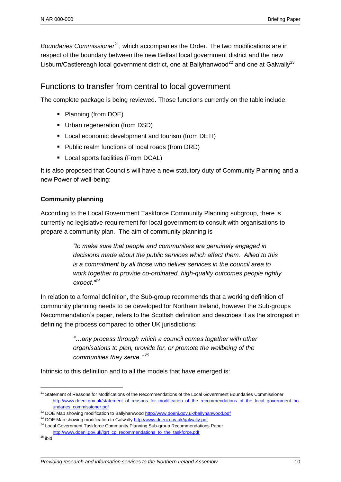*Boundaries Commissioner*<sup>21</sup>, which accompanies the Order. The two modifications are in respect of the boundary between the new Belfast local government district and the new Lisburn/Castlereagh local government district, one at Ballyhanwood<sup>22</sup> and one at Galwally<sup>23</sup>

## Functions to transfer from central to local government

The complete package is being reviewed. Those functions currently on the table include:

- Planning (from DOE)
- **Urban regeneration (from DSD)**
- **Local economic development and tourism (from DETI)**
- **Public realm functions of local roads (from DRD)**
- **Local sports facilities (From DCAL)**

It is also proposed that Councils will have a new statutory duty of Community Planning and a new Power of well-being:

#### **Community planning**

According to the Local Government Taskforce Community Planning subgroup, there is currently no legislative requirement for local government to consult with organisations to prepare a community plan. The aim of community planning is

> *"to make sure that people and communities are genuinely engaged in decisions made about the public services which affect them. Allied to this is a commitment by all those who deliver services in the council area to work together to provide co-ordinated, high-quality outcomes people rightly expect."<sup>24</sup>*

In relation to a formal definition, the Sub-group recommends that a working definition of community planning needs to be developed for Northern Ireland, however the Sub-groups Recommendation's paper, refers to the Scottish definition and describes it as the strongest in defining the process compared to other UK jurisdictions:

> *"…any process through which a council comes together with other organisations to plan, provide for, or promote the wellbeing of the communities they serve." <sup>25</sup>*

Intrinsic to this definition and to all the models that have emerged is:

<sup>&</sup>lt;sup>21</sup> Statement of Reasons for Modifications of the Recommendations of the Local Government Boundaries Commissioner [http://www.doeni.gov.uk/statement\\_of\\_reasons\\_for\\_modification\\_of\\_the\\_recommendations\\_of\\_the\\_local\\_government\\_bo](http://www.doeni.gov.uk/statement_of_reasons_for_modification_of_the_recommendations_of_the_local_government_boundaries_commissioner.pdf) [undaries\\_commissioner.pdf](http://www.doeni.gov.uk/statement_of_reasons_for_modification_of_the_recommendations_of_the_local_government_boundaries_commissioner.pdf)

<sup>&</sup>lt;sup>22</sup> DOE Map showing modification to Ballyhanwoo[d http://www.doeni.gov.uk/ballyhanwood.pdf](http://www.doeni.gov.uk/ballyhanwood.pdf)

<sup>&</sup>lt;sup>23</sup> DOE Map showing modification to Galwally<http://www.doeni.gov.uk/galwally.pdf>

<sup>&</sup>lt;sup>24</sup> Local Government Taskforce Community Planning Sub-group Recommendations Paper [http://www.doeni.gov.uk/lgrt\\_cp\\_recommendations\\_to\\_the\\_taskforce.pdf](http://www.doeni.gov.uk/lgrt_cp_recommendations_to_the_taskforce.pdf)

 $25$  ibid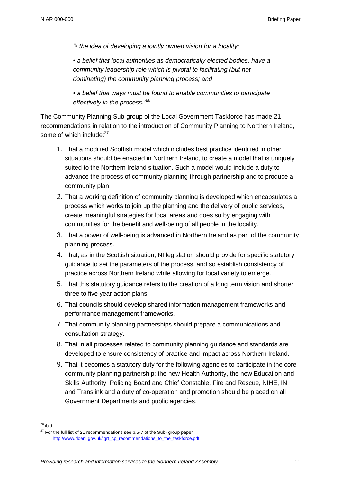*"• the idea of developing a jointly owned vision for a locality;* 

*• a belief that local authorities as democratically elected bodies, have a community leadership role which is pivotal to facilitating (but not dominating) the community planning process; and* 

*• a belief that ways must be found to enable communities to participate effectively in the process." 26*

The Community Planning Sub-group of the Local Government Taskforce has made 21 recommendations in relation to the introduction of Community Planning to Northern Ireland, some of which include: $27$ 

- 1. That a modified Scottish model which includes best practice identified in other situations should be enacted in Northern Ireland, to create a model that is uniquely suited to the Northern Ireland situation. Such a model would include a duty to advance the process of community planning through partnership and to produce a community plan.
- 2. That a working definition of community planning is developed which encapsulates a process which works to join up the planning and the delivery of public services, create meaningful strategies for local areas and does so by engaging with communities for the benefit and well-being of all people in the locality.
- 3. That a power of well-being is advanced in Northern Ireland as part of the community planning process.
- 4. That, as in the Scottish situation, NI legislation should provide for specific statutory guidance to set the parameters of the process, and so establish consistency of practice across Northern Ireland while allowing for local variety to emerge.
- 5. That this statutory guidance refers to the creation of a long term vision and shorter three to five year action plans.
- 6. That councils should develop shared information management frameworks and performance management frameworks.
- 7. That community planning partnerships should prepare a communications and consultation strategy.
- 8. That in all processes related to community planning guidance and standards are developed to ensure consistency of practice and impact across Northern Ireland.
- 9. That it becomes a statutory duty for the following agencies to participate in the core community planning partnership: the new Health Authority, the new Education and Skills Authority, Policing Board and Chief Constable, Fire and Rescue, NIHE, INI and Translink and a duty of co-operation and promotion should be placed on all Government Departments and public agencies.

<sup>&</sup>lt;sup>26</sup> ibid

 $27$  For the full list of 21 recommendations see p.5-7 of the Sub- group paper [http://www.doeni.gov.uk/lgrt\\_cp\\_recommendations\\_to\\_the\\_taskforce.pdf](http://www.doeni.gov.uk/lgrt_cp_recommendations_to_the_taskforce.pdf)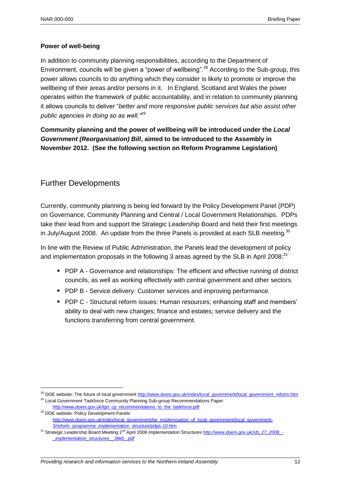### **Power of well-being**

In addition to community planning responsibilities, according to the Department of Environment, councils will be given a "power of wellbeing".<sup>28</sup> According to the Sub-group, this power allows councils to do anything which they consider is likely to promote or improve the wellbeing of their areas and/or persons in it. In England, Scotland and Wales the power operates within the framework of public accountability, and in relation to community planning it allows councils to deliver "*better and more responsive public services but also assist other public agencies in doing so as well."<sup>29</sup>*

## **Community planning and the power of wellbeing will be introduced under the** *Local Government (Reorganisation) Bill***, aimed to be introduced to the Assembly in November 2012. (See the following section on Reform Programme Legislation)**

## Further Developments

 $\overline{a}$ 

Currently, community planning is being led forward by the Policy Development Panel (PDP) on Governance, Community Planning and Central / Local Government Relationships. PDPs take their lead from and support the Strategic Leadership Board and held their first meetings in July/August 2008. An update from the three Panels is provided at each SLB meeting. $30$ 

In line with the Review of Public Administration, the Panels lead the development of policy and implementation proposals in the following 3 areas agreed by the SLB in April 2008: $^{31}$ 

- **PDP A Governance and relationships: The efficient and effective running of district** councils, as well as working effectively with central government and other sectors.
- **PDP B Service delivery: Customer services and improving performance.**
- **PDP C Structural reform issues: Human resources; enhancing staff and members'** ability to deal with new changes; finance and estates; service delivery and the functions transferring from central government.

<sup>&</sup>lt;sup>28</sup> DOE website: The future of local governmen[t http://www.doeni.gov.uk/index/local\\_government/local\\_government\\_reform.htm](http://www.doeni.gov.uk/index/local_government/local_government_reform.htm) <sup>29</sup> Local Government Taskforce Community Planning Sub-group Recommendations Paper

[http://www.doeni.gov.uk/lgrt\\_cp\\_recommendations\\_to\\_the\\_taskforce.pdf](http://www.doeni.gov.uk/lgrt_cp_recommendations_to_the_taskforce.pdf) <sup>30</sup> DOE website: Policy Development Panels

[http://www.doeni.gov.uk/index/local\\_government/lgr\\_modernisation\\_of\\_local\\_government/local\\_government-](http://www.doeni.gov.uk/index/local_government/lgr_modernisation_of_local_government/local_government-3/reform_programme_implementation_structure/pdps-10.htm)[3/reform\\_programme\\_implementation\\_structure/pdps-10.htm](http://www.doeni.gov.uk/index/local_government/lgr_modernisation_of_local_government/local_government-3/reform_programme_implementation_structure/pdps-10.htm)

<sup>31</sup> Strategic Leadership Board Meeting 2nd April 2008 *Implementation Structures [http://www.doeni.gov.uk/slb\\_27\\_2008\\_-](http://www.doeni.gov.uk/slb_27_2008_-_implementation_structures__39kb_.pdf) [\\_implementation\\_structures\\_\\_39kb\\_.pdf](http://www.doeni.gov.uk/slb_27_2008_-_implementation_structures__39kb_.pdf)*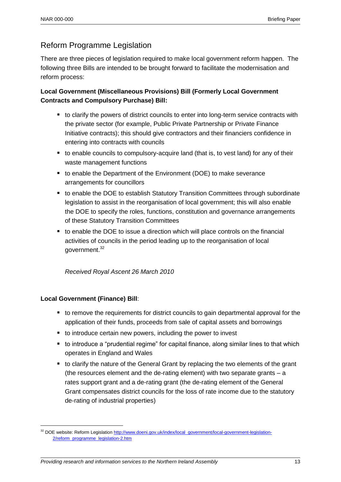## Reform Programme Legislation

There are three pieces of legislation required to make local government reform happen. The following three Bills are intended to be brought forward to facilitate the modernisation and reform process:

**Local Government (Miscellaneous Provisions) Bill (Formerly Local Government Contracts and Compulsory Purchase) Bill:**

- to clarify the powers of district councils to enter into long-term service contracts with the private sector (for example, Public Private Partnership or Private Finance Initiative contracts); this should give contractors and their financiers confidence in entering into contracts with councils
- to enable councils to compulsory-acquire land (that is, to vest land) for any of their waste management functions
- to enable the Department of the Environment (DOE) to make severance arrangements for councillors
- to enable the DOE to establish Statutory Transition Committees through subordinate legislation to assist in the reorganisation of local government; this will also enable the DOE to specify the roles, functions, constitution and governance arrangements of these Statutory Transition Committees
- to enable the DOE to issue a direction which will place controls on the financial activities of councils in the period leading up to the reorganisation of local government.<sup>32</sup>

*Received Royal Ascent 26 March 2010*

### **Local Government (Finance) Bill**:

- to remove the requirements for district councils to gain departmental approval for the application of their funds, proceeds from sale of capital assets and borrowings
- to introduce certain new powers, including the power to invest
- to introduce a "prudential regime" for capital finance, along similar lines to that which operates in England and Wales
- to clarify the nature of the General Grant by replacing the two elements of the grant (the resources element and the de-rating element) with two separate grants – a rates support grant and a de-rating grant (the de-rating element of the General Grant compensates district councils for the loss of rate income due to the statutory de-rating of industrial properties)

<sup>32</sup> DOE website: Reform Legislatio[n http://www.doeni.gov.uk/index/local\\_government/local-government-legislation-](http://www.doeni.gov.uk/index/local_government/local-government-legislation-2/reform_programme_legislation-2.htm)[2/reform\\_programme\\_legislation-2.htm](http://www.doeni.gov.uk/index/local_government/local-government-legislation-2/reform_programme_legislation-2.htm)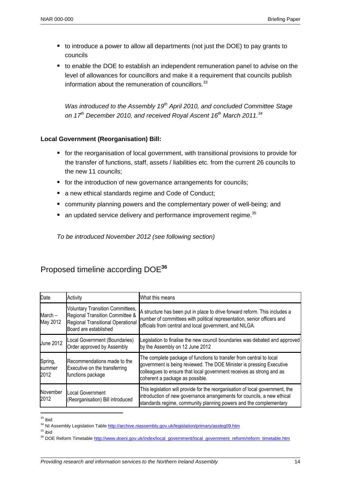- to introduce a power to allow all departments (not just the DOE) to pay grants to councils
- to enable the DOE to establish an independent remuneration panel to advise on the level of allowances for councillors and make it a requirement that councils publish information about the remuneration of councillors.<sup>33</sup>

*Was introduced to the Assembly 19th April 2010, and concluded Committee Stage on 17th December 2010, and received Royal Ascent 16th March 2011.<sup>34</sup>*

#### **Local Government (Reorganisation) Bill:**

- **for the reorganisation of local government, with transitional provisions to provide for** the transfer of functions, staff, assets / liabilities etc. from the current 26 councils to the new 11 councils;
- **for the introduction of new governance arrangements for councils;**
- a new ethical standards regime and Code of Conduct:
- community planning powers and the complementary power of well-being; and
- $\blacksquare$  an updated service delivery and performance improvement regime.  $^{35}$

*To be introduced November 2012 (see following section)*

| Date                      | Activity                                                                                                                                 | What this means                                                                                                                                                                                                                                        |
|---------------------------|------------------------------------------------------------------------------------------------------------------------------------------|--------------------------------------------------------------------------------------------------------------------------------------------------------------------------------------------------------------------------------------------------------|
| March-<br>May 2012        | <b>Voluntary Transition Committees,</b><br>Regional Transition Committee &<br>Regional Transitional Operational<br>Board are established | A structure has been put in place to drive forward reform. This includes a<br>number of committees with political representation, senior officers and<br>officials from central and local government, and NILGA.                                       |
| <b>June 2012</b>          | Local Government (Boundaries)<br>Order approved by Assembly                                                                              | Legislation to finalise the new council boundaries was debated and approved<br>by the Assembly on 12 June 2012                                                                                                                                         |
| Spring,<br>summer<br>2012 | Recommendations made to the<br>Executive on the transferring<br>functions package                                                        | The complete package of functions to transfer from central to local<br>government is being reviewed. The DOE Minister is pressing Executive<br>colleagues to ensure that local government receives as strong and as<br>coherent a package as possible. |
| November<br>2012          | Local Government<br>(Reorganisation) Bill introduced                                                                                     | This legislation will provide for the reorganisation of local government, the<br>introduction of new governance arrangements for councils, a new ethical<br>standards regime, community planning powers and the complementary                          |

## Proposed timeline according DOE**<sup>36</sup>**

 $\overline{a}$ 

 $35$  ibid

 $33$  ibid

<sup>&</sup>lt;sup>34</sup> NI Assembly Legislation Tabl[e http://archive.niassembly.gov.uk/legislation/primary/assleg09.htm](http://archive.niassembly.gov.uk/legislation/primary/assleg09.htm)

<sup>&</sup>lt;sup>36</sup> DOE Reform Timetable [http://www.doeni.gov.uk/index/local\\_government/local\\_government\\_reform/reform\\_timetable.htm](http://www.doeni.gov.uk/index/local_government/local_government_reform/reform_timetable.htm)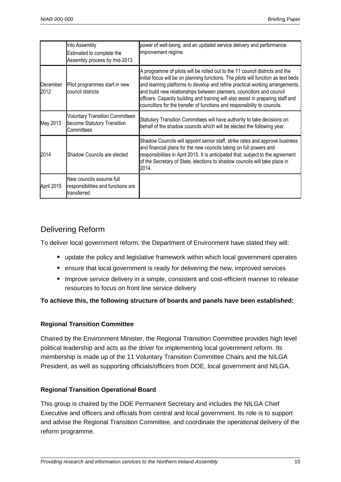|                  | into Assembly<br>Estimated to complete the<br>Assembly process by mid-2013          | power of well-being, and an updated service delivery and performance<br>improvement regime.                                                                                                                                                                                                                                                                                                                                                                                                  |
|------------------|-------------------------------------------------------------------------------------|----------------------------------------------------------------------------------------------------------------------------------------------------------------------------------------------------------------------------------------------------------------------------------------------------------------------------------------------------------------------------------------------------------------------------------------------------------------------------------------------|
| December<br>2012 | Pilot programmes start in new<br>council districts                                  | A programme of pilots will be rolled out to the 11 council districts and the<br>initial focus will be on planning functions. The pilots will function as test beds<br>and learning platforms to develop and refine practical working arrangements,<br>and build new relationships between planners, councillors and council<br>officers. Capacity building and training will also assist in preparing staff and<br>councillors for the transfer of functions and responsibility to councils. |
| May 2013         | <b>Voluntary Transition Committees</b><br>become Statutory Transition<br>Committees | Statutory Transition Committees will have authority to take decisions on<br>behalf of the shadow councils which will be elected the following year.                                                                                                                                                                                                                                                                                                                                          |
| 2014             | Shadow Councils are elected                                                         | Shadow Councils will appoint senior staff, strike rates and approve business<br>and financial plans for the new councils taking on full powers and<br>responsibilities in April 2015. It is anticipated that, subject to the agreement<br>of the Secretary of State, elections to shadow councils will take place in<br>2014.                                                                                                                                                                |
| April 2015       | New councils assume full<br>responsibilities and functions are<br>transferred       |                                                                                                                                                                                                                                                                                                                                                                                                                                                                                              |

## Delivering Reform

To deliver local government reform, the Department of Environment have stated they will:

- **update the policy and legislative framework within which local government operates**
- ensure that local government is ready for delivering the new, improved services
- **IMPROVE SERVICE DELIVERY IN A SIMPLE, CONSISTENT AND COST-Efficient manner to release** resources to focus on front line service delivery

### **To achieve this, the following structure of boards and panels have been established:**

### **Regional Transition Committee**

Chaired by the Environment Minister, the Regional Transition Committee provides high level political leadership and acts as the driver for implementing local government reform. Its membership is made up of the 11 Voluntary Transition Committee Chairs and the NILGA President, as well as supporting officials/officers from DOE, local government and NILGA.

### **Regional Transition Operational Board**

This group is chaired by the DOE Permanent Secretary and includes the NILGA Chief Executive and officers and officials from central and local government. Its role is to support and advise the Regional Transition Committee, and coordinate the operational delivery of the reform programme.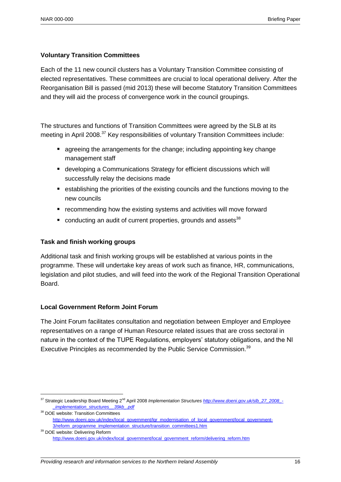### **Voluntary Transition Committees**

Each of the 11 new council clusters has a Voluntary Transition Committee consisting of elected representatives. These committees are crucial to local operational delivery. After the Reorganisation Bill is passed (mid 2013) these will become Statutory Transition Committees and they will aid the process of convergence work in the council groupings.

The structures and functions of Transition Committees were agreed by the SLB at its meeting in April 2008.<sup>37</sup> Key responsibilities of voluntary Transition Committees include:

- agreeing the arrangements for the change; including appointing key change management staff
- developing a Communications Strategy for efficient discussions which will successfully relay the decisions made
- establishing the priorities of the existing councils and the functions moving to the new councils
- **E** recommending how the existing systems and activities will move forward
- conducting an audit of current properties, grounds and assets<sup>38</sup>

### **Task and finish working groups**

Additional task and finish working groups will be established at various points in the programme. These will undertake key areas of work such as finance, HR, communications, legislation and pilot studies, and will feed into the work of the Regional Transition Operational Board.

### **Local Government Reform Joint Forum**

 $\overline{a}$ 

The Joint Forum facilitates consultation and negotiation between Employer and Employee representatives on a range of Human Resource related issues that are cross sectoral in nature in the context of the TUPE Regulations, employers' statutory obligations, and the NI Executive Principles as recommended by the Public Service Commission.<sup>39</sup>

<sup>&</sup>lt;sup>37</sup> Strategic Leadership Board Meeting 2<sup>nd</sup> April 2008 *Implementation Structure[s http://www.doeni.gov.uk/slb\\_27\\_2008\\_-](http://www.doeni.gov.uk/slb_27_2008_-_implementation_structures__39kb_.pdf) [\\_implementation\\_structures\\_\\_39kb\\_.pdf](http://www.doeni.gov.uk/slb_27_2008_-_implementation_structures__39kb_.pdf)*

<sup>&</sup>lt;sup>38</sup> DOE website: Transition Committees [http://www.doeni.gov.uk/index/local\\_government/lgr\\_modernisation\\_of\\_local\\_government/local\\_government-](http://www.doeni.gov.uk/index/local_government/lgr_modernisation_of_local_government/local_government-3/reform_programme_implementation_structure/transition_committees1.htm)[3/reform\\_programme\\_implementation\\_structure/transition\\_committees1.htm](http://www.doeni.gov.uk/index/local_government/lgr_modernisation_of_local_government/local_government-3/reform_programme_implementation_structure/transition_committees1.htm)

<sup>&</sup>lt;sup>39</sup> DOE website: Delivering Reform [http://www.doeni.gov.uk/index/local\\_government/local\\_government\\_reform/delivering\\_reform.htm](http://www.doeni.gov.uk/index/local_government/local_government_reform/delivering_reform.htm)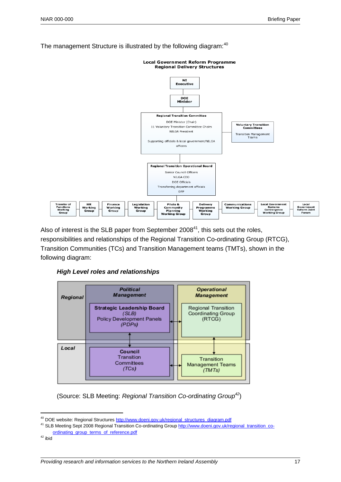



Also of interest is the SLB paper from September  $2008<sup>41</sup>$ , this sets out the roles, responsibilities and relationships of the Regional Transition Co-ordinating Group (RTCG), Transition Communities (TCs) and Transition Management teams (TMTs), shown in the following diagram:

*High Level roles and relationships*



(Source: SLB Meeting: *Regional Transition Co-ordinating Group<sup>42</sup>*)

<sup>&</sup>lt;sup>40</sup> DOE website: Regional Structure[s http://www.doeni.gov.uk/regional\\_structures\\_diagram.pdf](http://www.doeni.gov.uk/regional_structures_diagram.pdf)

<sup>41</sup> SLB Meeting Sept 2008 Regional Transition Co-ordinating Grou[p http://www.doeni.gov.uk/regional\\_transition\\_co](http://www.doeni.gov.uk/regional_transition_co-ordinating_group_terms_of_reference.pdf)[ordinating\\_group\\_terms\\_of\\_reference.pdf](http://www.doeni.gov.uk/regional_transition_co-ordinating_group_terms_of_reference.pdf)

 $42$  ibid